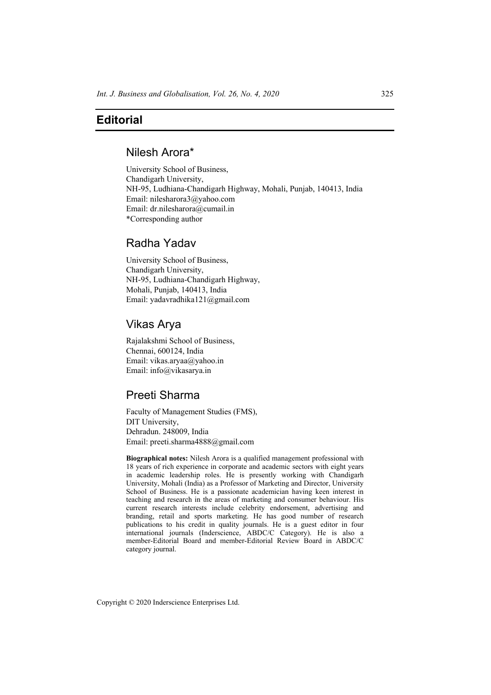### **Editorial**

#### Nilesh Arora\*

University School of Business, Chandigarh University, NH-95, Ludhiana-Chandigarh Highway, Mohali, Punjab, 140413, India Email: nilesharora3@yahoo.com Email: dr.nilesharora@cumail.in \*Corresponding author

## Radha Yadav

University School of Business, Chandigarh University, NH-95, Ludhiana-Chandigarh Highway, Mohali, Punjab, 140413, India Email: yadavradhika121@gmail.com

## Vikas Arya

Rajalakshmi School of Business, Chennai, 600124, India Email: vikas.aryaa@yahoo.in Email: info@vikasarya.in

# Preeti Sharma

Faculty of Management Studies (FMS), DIT University, Dehradun. 248009, India Email: preeti.sharma4888@gmail.com

**Biographical notes:** Nilesh Arora is a qualified management professional with 18 years of rich experience in corporate and academic sectors with eight years in academic leadership roles. He is presently working with Chandigarh University, Mohali (India) as a Professor of Marketing and Director, University School of Business. He is a passionate academician having keen interest in teaching and research in the areas of marketing and consumer behaviour. His current research interests include celebrity endorsement, advertising and branding, retail and sports marketing. He has good number of research publications to his credit in quality journals. He is a guest editor in four international journals (Inderscience, ABDC/C Category). He is also a member-Editorial Board and member-Editorial Review Board in ABDC/C category journal.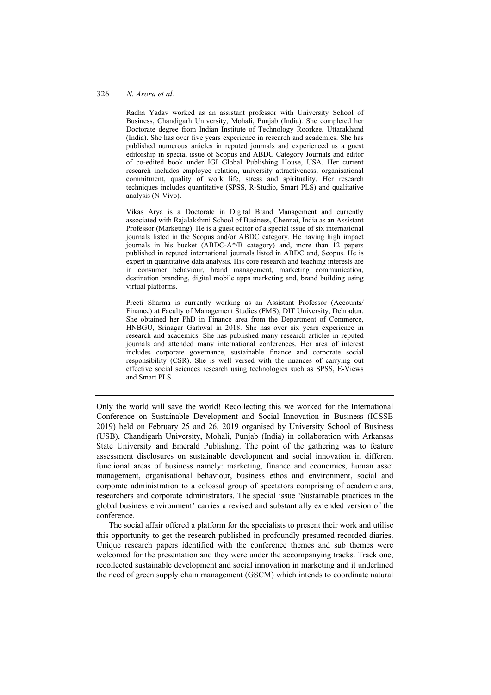Radha Yadav worked as an assistant professor with University School of Business, Chandigarh University, Mohali, Punjab (India). She completed her Doctorate degree from Indian Institute of Technology Roorkee, Uttarakhand (India). She has over five years experience in research and academics. She has published numerous articles in reputed journals and experienced as a guest editorship in special issue of Scopus and ABDC Category Journals and editor of co-edited book under IGI Global Publishing House, USA. Her current research includes employee relation, university attractiveness, organisational commitment, quality of work life, stress and spirituality. Her research techniques includes quantitative (SPSS, R-Studio, Smart PLS) and qualitative analysis (N-Vivo).

Vikas Arya is a Doctorate in Digital Brand Management and currently associated with Rajalakshmi School of Business, Chennai, India as an Assistant Professor (Marketing). He is a guest editor of a special issue of six international journals listed in the Scopus and/or ABDC category. He having high impact journals in his bucket (ABDC-A\*/B category) and, more than 12 papers published in reputed international journals listed in ABDC and, Scopus. He is expert in quantitative data analysis. His core research and teaching interests are in consumer behaviour, brand management, marketing communication, destination branding, digital mobile apps marketing and, brand building using virtual platforms.

Preeti Sharma is currently working as an Assistant Professor (Accounts/ Finance) at Faculty of Management Studies (FMS), DIT University, Dehradun. She obtained her PhD in Finance area from the Department of Commerce, HNBGU, Srinagar Garhwal in 2018. She has over six years experience in research and academics. She has published many research articles in reputed journals and attended many international conferences. Her area of interest includes corporate governance, sustainable finance and corporate social responsibility (CSR). She is well versed with the nuances of carrying out effective social sciences research using technologies such as SPSS, E-Views and Smart PLS.

Only the world will save the world! Recollecting this we worked for the International Conference on Sustainable Development and Social Innovation in Business (ICSSB 2019) held on February 25 and 26, 2019 organised by University School of Business (USB), Chandigarh University, Mohali, Punjab (India) in collaboration with Arkansas State University and Emerald Publishing. The point of the gathering was to feature assessment disclosures on sustainable development and social innovation in different functional areas of business namely: marketing, finance and economics, human asset management, organisational behaviour, business ethos and environment, social and corporate administration to a colossal group of spectators comprising of academicians, researchers and corporate administrators. The special issue 'Sustainable practices in the global business environment' carries a revised and substantially extended version of the conference.

The social affair offered a platform for the specialists to present their work and utilise this opportunity to get the research published in profoundly presumed recorded diaries. Unique research papers identified with the conference themes and sub themes were welcomed for the presentation and they were under the accompanying tracks. Track one, recollected sustainable development and social innovation in marketing and it underlined the need of green supply chain management (GSCM) which intends to coordinate natural